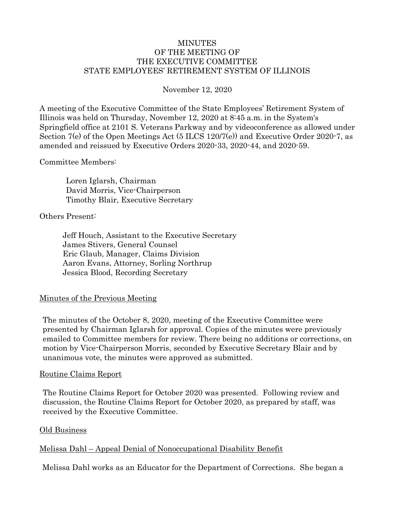### MINUTES OF THE MEETING OF THE EXECUTIVE COMMITTEE STATE EMPLOYEES' RETIREMENT SYSTEM OF ILLINOIS

November 12, 2020

A meeting of the Executive Committee of the State Employees' Retirement System of Illinois was held on Thursday, November 12, 2020 at 8:45 a.m. in the System's Springfield office at 2101 S. Veterans Parkway and by videoconference as allowed under Section 7(e) of the Open Meetings Act (5 ILCS 120/7(e)) and Executive Order 2020-7, as amended and reissued by Executive Orders 2020-33, 2020-44, and 2020-59.

Committee Members:

Loren Iglarsh, Chairman David Morris, Vice-Chairperson Timothy Blair, Executive Secretary

Others Present:

Jeff Houch, Assistant to the Executive Secretary James Stivers, General Counsel Eric Glaub, Manager, Claims Division Aaron Evans, Attorney, Sorling Northrup Jessica Blood, Recording Secretary

### Minutes of the Previous Meeting

The minutes of the October 8, 2020, meeting of the Executive Committee were presented by Chairman Iglarsh for approval. Copies of the minutes were previously emailed to Committee members for review. There being no additions or corrections, on motion by Vice-Chairperson Morris, seconded by Executive Secretary Blair and by unanimous vote, the minutes were approved as submitted.

#### Routine Claims Report

The Routine Claims Report for October 2020 was presented. Following review and discussion, the Routine Claims Report for October 2020, as prepared by staff, was received by the Executive Committee.

#### Old Business

### Melissa Dahl – Appeal Denial of Nonoccupational Disability Benefit

Melissa Dahl works as an Educator for the Department of Corrections. She began a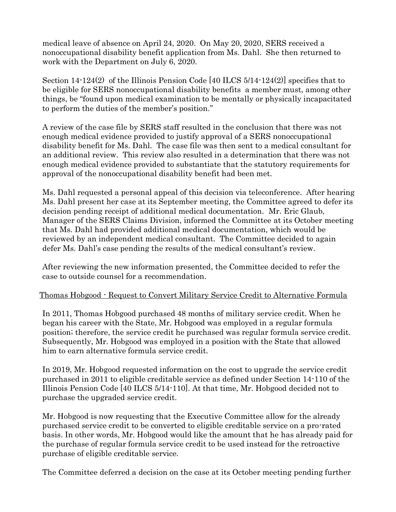medical leave of absence on April 24, 2020. On May 20, 2020, SERS received a nonoccupational disability benefit application from Ms. Dahl. She then returned to work with the Department on July 6, 2020.

Section 14-124(2) of the Illinois Pension Code [40 ILCS 5/14-124(2)] specifies that to be eligible for SERS nonoccupational disability benefits a member must, among other things, be "found upon medical examination to be mentally or physically incapacitated to perform the duties of the member's position."

A review of the case file by SERS staff resulted in the conclusion that there was not enough medical evidence provided to justify approval of a SERS nonoccupational disability benefit for Ms. Dahl. The case file was then sent to a medical consultant for an additional review. This review also resulted in a determination that there was not enough medical evidence provided to substantiate that the statutory requirements for approval of the nonoccupational disability benefit had been met.

Ms. Dahl requested a personal appeal of this decision via teleconference. After hearing Ms. Dahl present her case at its September meeting, the Committee agreed to defer its decision pending receipt of additional medical documentation. Mr. Eric Glaub, Manager of the SERS Claims Division, informed the Committee at its October meeting that Ms. Dahl had provided additional medical documentation, which would be reviewed by an independent medical consultant. The Committee decided to again defer Ms. Dahl's case pending the results of the medical consultant's review.

After reviewing the new information presented, the Committee decided to refer the case to outside counsel for a recommendation.

# Thomas Hobgood - Request to Convert Military Service Credit to Alternative Formula

In 2011, Thomas Hobgood purchased 48 months of military service credit. When he began his career with the State, Mr. Hobgood was employed in a regular formula position; therefore, the service credit he purchased was regular formula service credit. Subsequently, Mr. Hobgood was employed in a position with the State that allowed him to earn alternative formula service credit.

In 2019, Mr. Hobgood requested information on the cost to upgrade the service credit purchased in 2011 to eligible creditable service as defined under Section 14-110 of the Illinois Pension Code [40 ILCS 5/14-110]. At that time, Mr. Hobgood decided not to purchase the upgraded service credit.

Mr. Hobgood is now requesting that the Executive Committee allow for the already purchased service credit to be converted to eligible creditable service on a pro-rated basis. In other words, Mr. Hobgood would like the amount that he has already paid for the purchase of regular formula service credit to be used instead for the retroactive purchase of eligible creditable service.

The Committee deferred a decision on the case at its October meeting pending further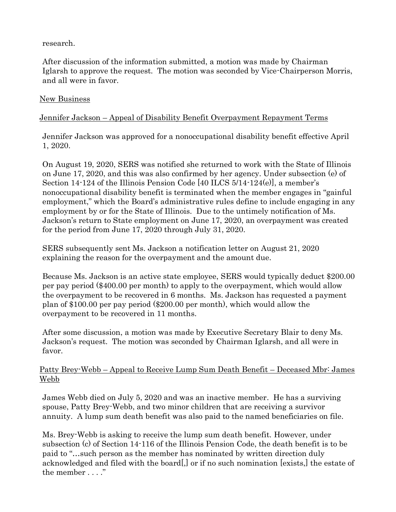research.

After discussion of the information submitted, a motion was made by Chairman Iglarsh to approve the request. The motion was seconded by Vice-Chairperson Morris, and all were in favor.

## New Business

# Jennifer Jackson – Appeal of Disability Benefit Overpayment Repayment Terms

Jennifer Jackson was approved for a nonoccupational disability benefit effective April 1, 2020.

On August 19, 2020, SERS was notified she returned to work with the State of Illinois on June 17, 2020, and this was also confirmed by her agency. Under subsection (e) of Section 14-124 of the Illinois Pension Code  $[40$  ILCS  $5/14$ -124 $(e)$ , a member's nonoccupational disability benefit is terminated when the member engages in "gainful employment," which the Board's administrative rules define to include engaging in any employment by or for the State of Illinois. Due to the untimely notification of Ms. Jackson's return to State employment on June 17, 2020, an overpayment was created for the period from June 17, 2020 through July 31, 2020.

SERS subsequently sent Ms. Jackson a notification letter on August 21, 2020 explaining the reason for the overpayment and the amount due.

Because Ms. Jackson is an active state employee, SERS would typically deduct \$200.00 per pay period (\$400.00 per month) to apply to the overpayment, which would allow the overpayment to be recovered in 6 months. Ms. Jackson has requested a payment plan of \$100.00 per pay period (\$200.00 per month), which would allow the overpayment to be recovered in 11 months.

After some discussion, a motion was made by Executive Secretary Blair to deny Ms. Jackson's request. The motion was seconded by Chairman Iglarsh, and all were in favor.

## Patty Brey-Webb – Appeal to Receive Lump Sum Death Benefit – Deceased Mbr: James Webb

James Webb died on July 5, 2020 and was an inactive member. He has a surviving spouse, Patty Brey-Webb, and two minor children that are receiving a survivor annuity. A lump sum death benefit was also paid to the named beneficiaries on file.

Ms. Brey-Webb is asking to receive the lump sum death benefit. However, under subsection (c) of Section 14-116 of the Illinois Pension Code, the death benefit is to be paid to "…such person as the member has nominated by written direction duly acknowledged and filed with the board[,] or if no such nomination [exists,] the estate of the member . . . ."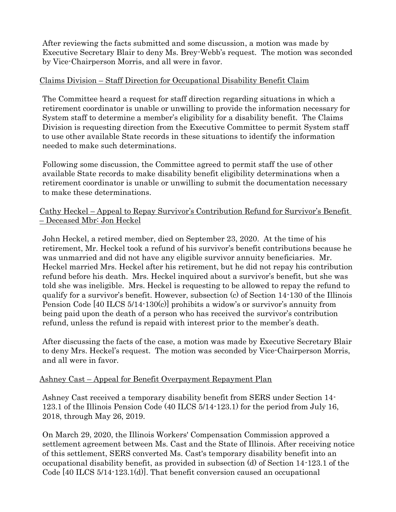After reviewing the facts submitted and some discussion, a motion was made by Executive Secretary Blair to deny Ms. Brey-Webb's request. The motion was seconded by Vice-Chairperson Morris, and all were in favor.

## Claims Division – Staff Direction for Occupational Disability Benefit Claim

The Committee heard a request for staff direction regarding situations in which a retirement coordinator is unable or unwilling to provide the information necessary for System staff to determine a member's eligibility for a disability benefit. The Claims Division is requesting direction from the Executive Committee to permit System staff to use other available State records in these situations to identify the information needed to make such determinations.

Following some discussion, the Committee agreed to permit staff the use of other available State records to make disability benefit eligibility determinations when a retirement coordinator is unable or unwilling to submit the documentation necessary to make these determinations.

## Cathy Heckel – Appeal to Repay Survivor's Contribution Refund for Survivor's Benefit – Deceased Mbr: Jon Heckel

John Heckel, a retired member, died on September 23, 2020. At the time of his retirement, Mr. Heckel took a refund of his survivor's benefit contributions because he was unmarried and did not have any eligible survivor annuity beneficiaries. Mr. Heckel married Mrs. Heckel after his retirement, but he did not repay his contribution refund before his death. Mrs. Heckel inquired about a survivor's benefit, but she was told she was ineligible. Mrs. Heckel is requesting to be allowed to repay the refund to qualify for a survivor's benefit. However, subsection (c) of Section 14-130 of the Illinois Pension Code [40 ILCS 5/14-130(c)] prohibits a widow's or survivor's annuity from being paid upon the death of a person who has received the survivor's contribution refund, unless the refund is repaid with interest prior to the member's death.

After discussing the facts of the case, a motion was made by Executive Secretary Blair to deny Mrs. Heckel's request. The motion was seconded by Vice-Chairperson Morris, and all were in favor.

### Ashney Cast – Appeal for Benefit Overpayment Repayment Plan

Ashney Cast received a temporary disability benefit from SERS under Section 14- 123.1 of the Illinois Pension Code (40 ILCS 5/14-123.1) for the period from July 16, 2018, through May 26, 2019.

On March 29, 2020, the Illinois Workers' Compensation Commission approved a settlement agreement between Ms. Cast and the State of Illinois. After receiving notice of this settlement, SERS converted Ms. Cast's temporary disability benefit into an occupational disability benefit, as provided in subsection (d) of Section 14-123.1 of the Code [40 ILCS 5/14-123.1(d)]. That benefit conversion caused an occupational